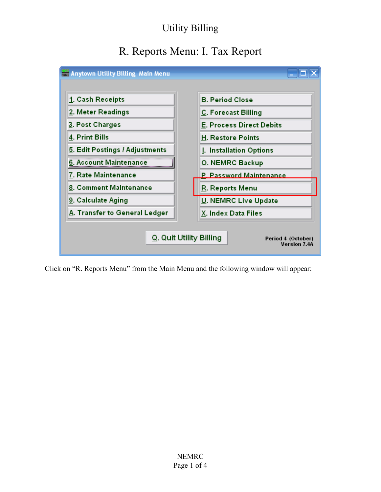# R. Reports Menu: I. Tax Report



Click on "R. Reports Menu" from the Main Menu and the following window will appear: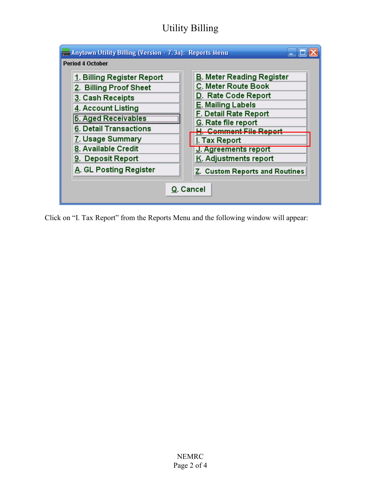| Fini Anytown Utility Billing (Version - 7.3a): Reports Menu |                                  |  |
|-------------------------------------------------------------|----------------------------------|--|
| <b>Period 4 October</b>                                     |                                  |  |
| 1. Billing Register Report                                  | <b>B. Meter Reading Register</b> |  |
| 2. Billing Proof Sheet                                      | C. Meter Route Book              |  |
| 3. Cash Receipts                                            | D. Rate Code Report              |  |
| 4. Account Listing                                          | E. Mailing Labels                |  |
| <b>5. Aged Receivables</b>                                  | F. Detail Rate Report            |  |
| 6. Detail Transactions                                      | G. Rate file report              |  |
| 7. Usage Summary                                            | Comment File Report              |  |
| 8. Available Credit                                         | I. Tax Report                    |  |
|                                                             | J. Agreements report             |  |
| 9. Deposit Report                                           | K. Adjustments report            |  |
| A. GL Posting Register                                      | Z. Custom Reports and Routines   |  |
| Q. Cancel                                                   |                                  |  |

Click on "I. Tax Report" from the Reports Menu and the following window will appear: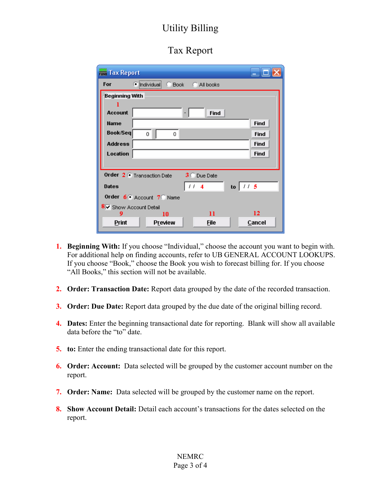#### Tax Report

| <b>The Tax Report</b>                    |                                          |  |
|------------------------------------------|------------------------------------------|--|
| For                                      | $\bullet$ Individual<br>Book C All books |  |
| Beginning With                           |                                          |  |
|                                          |                                          |  |
| <b>Account</b>                           | Find                                     |  |
| <b>Name</b>                              | Find                                     |  |
| Book/Seq                                 | Find<br>Ω<br>Ω                           |  |
| <b>Address</b>                           | Find                                     |  |
| Location                                 | Find                                     |  |
|                                          |                                          |  |
| Order 2 C Transaction Date<br>3 Due Date |                                          |  |
| <b>Dates</b>                             | to $115$<br>$11-4$                       |  |
| Order 6 Account 7 Name                   |                                          |  |
| 8 V Show Account Detail                  |                                          |  |
| 9                                        | 12<br>11<br>10                           |  |
| Print                                    | Preview<br><b>File</b><br>Cancel         |  |

- 1. Beginning With: If you choose "Individual," choose the account you want to begin with. For additional help on finding accounts, refer to UB GENERAL ACCOUNT LOOKUPS. If you choose "Book," choose the Book you wish to forecast billing for. If you choose "All Books," this section will not be available.
- 2. Order: Transaction Date: Report data grouped by the date of the recorded transaction.
- **3. Order: Due Date:** Report data grouped by the due date of the original billing record.
- 4. Dates: Enter the beginning transactional date for reporting. Blank will show all available data before the "to" date.
- 5. to: Enter the ending transactional date for this report.
- 6. Order: Account: Data selected will be grouped by the customer account number on the report.
- 7. Order: Name: Data selected will be grouped by the customer name on the report.
- 8. Show Account Detail: Detail each account's transactions for the dates selected on the report.